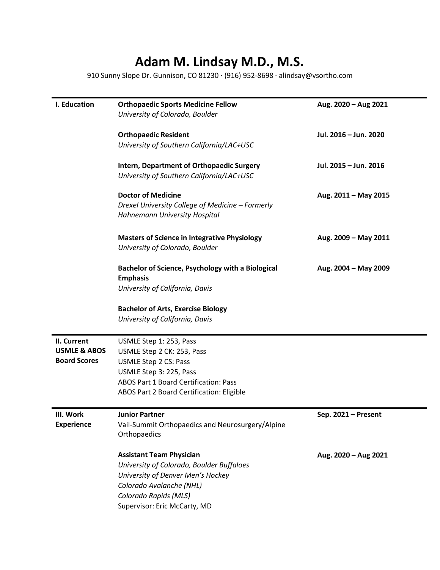## **Adam M. Lindsay M.D., M.S.**

910 Sunny Slope Dr. Gunnison, CO 81230 · (916) 952-8698 · alindsay@vsortho.com

| I. Education                                                  | <b>Orthopaedic Sports Medicine Fellow</b><br>University of Colorado, Boulder                                                                                                                                  | Aug. 2020 - Aug 2021  |
|---------------------------------------------------------------|---------------------------------------------------------------------------------------------------------------------------------------------------------------------------------------------------------------|-----------------------|
|                                                               | <b>Orthopaedic Resident</b><br>University of Southern California/LAC+USC                                                                                                                                      | Jul. 2016 - Jun. 2020 |
|                                                               | <b>Intern, Department of Orthopaedic Surgery</b><br>University of Southern California/LAC+USC                                                                                                                 | Jul. 2015 - Jun. 2016 |
|                                                               | <b>Doctor of Medicine</b><br>Drexel University College of Medicine - Formerly<br>Hahnemann University Hospital                                                                                                | Aug. 2011 - May 2015  |
|                                                               | <b>Masters of Science in Integrative Physiology</b><br>University of Colorado, Boulder                                                                                                                        | Aug. 2009 - May 2011  |
|                                                               | Bachelor of Science, Psychology with a Biological<br><b>Emphasis</b><br>University of California, Davis                                                                                                       | Aug. 2004 - May 2009  |
|                                                               | <b>Bachelor of Arts, Exercise Biology</b><br>University of California, Davis                                                                                                                                  |                       |
| II. Current<br><b>USMLE &amp; ABOS</b><br><b>Board Scores</b> | USMLE Step 1: 253, Pass<br>USMLE Step 2 CK: 253, Pass<br><b>USMLE Step 2 CS: Pass</b><br>USMLE Step 3: 225, Pass<br><b>ABOS Part 1 Board Certification: Pass</b><br>ABOS Part 2 Board Certification: Eligible |                       |
| III. Work<br><b>Experience</b>                                | <b>Junior Partner</b><br>Vail-Summit Orthopaedics and Neurosurgery/Alpine<br>Orthopaedics                                                                                                                     | Sep. 2021 - Present   |
|                                                               | <b>Assistant Team Physician</b><br>University of Colorado, Boulder Buffaloes<br>University of Denver Men's Hockey<br>Colorado Avalanche (NHL)<br>Colorado Rapids (MLS)<br>Supervisor: Eric McCarty, MD        | Aug. 2020 - Aug 2021  |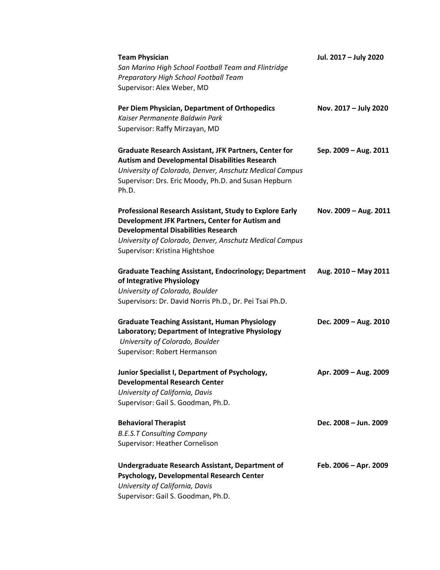| <b>Team Physician</b><br>San Marino High School Football Team and Flintridge<br>Preparatory High School Football Team<br>Supervisor: Alex Weber, MD                                                                                                   | Jul. 2017 - July 2020 |
|-------------------------------------------------------------------------------------------------------------------------------------------------------------------------------------------------------------------------------------------------------|-----------------------|
| Per Diem Physician, Department of Orthopedics<br>Kaiser Permanente Baldwin Park<br>Supervisor: Raffy Mirzayan, MD                                                                                                                                     | Nov. 2017 - July 2020 |
| <b>Graduate Research Assistant, JFK Partners, Center for</b><br><b>Autism and Developmental Disabilities Research</b><br>University of Colorado, Denver, Anschutz Medical Campus<br>Supervisor: Drs. Eric Moody, Ph.D. and Susan Hepburn<br>Ph.D.     | Sep. 2009 - Aug. 2011 |
| Professional Research Assistant, Study to Explore Early<br>Development JFK Partners, Center for Autism and<br><b>Developmental Disabilities Research</b><br>University of Colorado, Denver, Anschutz Medical Campus<br>Supervisor: Kristina Hightshoe | Nov. 2009 - Aug. 2011 |
| <b>Graduate Teaching Assistant, Endocrinology; Department</b><br>of Integrative Physiology<br>University of Colorado, Boulder<br>Supervisors: Dr. David Norris Ph.D., Dr. Pei Tsai Ph.D.                                                              | Aug. 2010 - May 2011  |
| <b>Graduate Teaching Assistant, Human Physiology</b><br>Laboratory; Department of Integrative Physiology<br>University of Colorado, Boulder<br>Supervisor: Robert Hermanson                                                                           | Dec. 2009 - Aug. 2010 |
| Junior Specialist I, Department of Psychology,<br><b>Developmental Research Center</b><br>University of California, Davis<br>Supervisor: Gail S. Goodman, Ph.D.                                                                                       | Apr. 2009 - Aug. 2009 |
| <b>Behavioral Therapist</b><br><b>B.E.S.T Consulting Company</b><br>Supervisor: Heather Cornelison                                                                                                                                                    | Dec. 2008 - Jun. 2009 |
| Undergraduate Research Assistant, Department of<br>Psychology, Developmental Research Center<br>University of California, Davis<br>Supervisor: Gail S. Goodman, Ph.D.                                                                                 | Feb. 2006 - Apr. 2009 |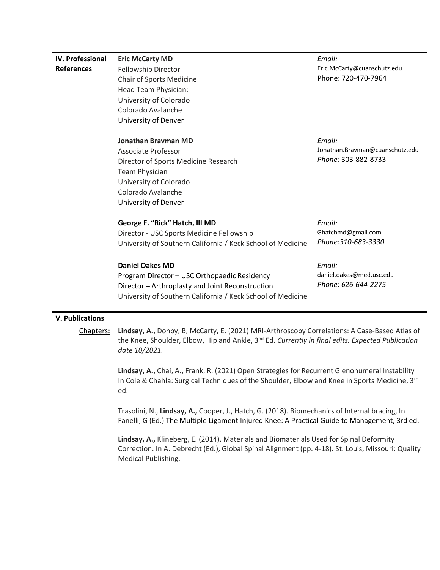| <b>IV. Professional</b> | <b>Eric McCarty MD</b>                                      | Email:                          |
|-------------------------|-------------------------------------------------------------|---------------------------------|
| <b>References</b>       | Fellowship Director                                         | Eric.McCarty@cuanschutz.edu     |
|                         | Chair of Sports Medicine                                    | Phone: 720-470-7964             |
|                         | Head Team Physician:                                        |                                 |
|                         | University of Colorado                                      |                                 |
|                         | Colorado Avalanche                                          |                                 |
|                         | University of Denver                                        |                                 |
|                         | <b>Jonathan Brayman MD</b>                                  | Email:                          |
|                         | Associate Professor                                         | Jonathan.Bravman@cuanschutz.edu |
|                         | Director of Sports Medicine Research                        | Phone: 303-882-8733             |
|                         | <b>Team Physician</b>                                       |                                 |
|                         | University of Colorado                                      |                                 |
|                         | Colorado Avalanche                                          |                                 |
|                         | University of Denver                                        |                                 |
|                         | George F. "Rick" Hatch, III MD                              | Email:                          |
|                         | Director - USC Sports Medicine Fellowship                   | Ghatchmd@gmail.com              |
|                         | University of Southern California / Keck School of Medicine | Phone:310-683-3330              |
|                         | <b>Daniel Oakes MD</b>                                      | Email:                          |
|                         | Program Director - USC Orthopaedic Residency                | daniel.oakes@med.usc.edu        |
|                         | Director - Arthroplasty and Joint Reconstruction            | Phone: 626-644-2275             |
|                         | University of Southern California / Keck School of Medicine |                                 |
|                         |                                                             |                                 |

## **V. Publications**

Chapters: **Lindsay, A.,** Donby, B, McCarty, E. (2021) MRI-Arthroscopy Correlations: A Case-Based Atlas of the Knee, Shoulder, Elbow, Hip and Ankle, 3nd Ed. *Currently in final edits. Expected Publication date 10/2021.*

> **Lindsay, A.,** Chai, A., Frank, R. (2021) Open Strategies for Recurrent Glenohumeral Instability In Cole & Chahla: Surgical Techniques of the Shoulder, Elbow and Knee in Sports Medicine, 3<sup>rd</sup> ed.

> Trasolini, N., **Lindsay, A.,** Cooper, J., Hatch, G. (2018). Biomechanics of Internal bracing, In Fanelli, G (Ed.) The Multiple Ligament Injured Knee: A Practical Guide to Management, 3rd ed.

> **Lindsay, A.,** Klineberg, E. (2014). Materials and Biomaterials Used for Spinal Deformity Correction. In A. Debrecht (Ed.), Global Spinal Alignment (pp. 4-18). St. Louis, Missouri: Quality Medical Publishing.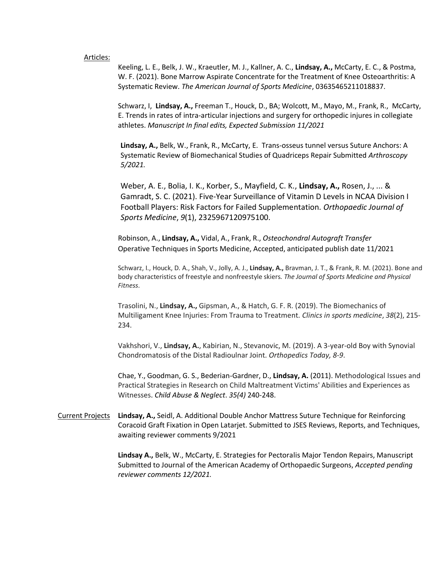## Articles:

Keeling, L. E., Belk, J. W., Kraeutler, M. J., Kallner, A. C., **Lindsay, A.,** McCarty, E. C., & Postma, W. F. (2021). Bone Marrow Aspirate Concentrate for the Treatment of Knee Osteoarthritis: A Systematic Review. *The American Journal of Sports Medicine*, 03635465211018837.

Schwarz, I, **Lindsay, A.,** Freeman T., Houck, D., BA; Wolcott, M., Mayo, M., Frank, R., McCarty, E. Trends in rates of intra-articular injections and surgery for orthopedic injures in collegiate athletes. *Manuscript In final edits, Expected Submission 11/2021*

**Lindsay, A.,** Belk, W., Frank, R., McCarty, E. Trans-osseus tunnel versus Suture Anchors: A Systematic Review of Biomechanical Studies of Quadriceps Repair Submitted *Arthroscopy 5/2021.* 

Weber, A. E., Bolia, I. K., Korber, S., Mayfield, C. K., **Lindsay, A.,** Rosen, J., ... & Gamradt, S. C. (2021). Five-Year Surveillance of Vitamin D Levels in NCAA Division I Football Players: Risk Factors for Failed Supplementation. *Orthopaedic Journal of Sports Medicine*, *9*(1), 2325967120975100.

Robinson, A., **Lindsay, A.,** Vidal, A., Frank, R., *Osteochondral Autograft Transfer* Operative Techniques in Sports Medicine, Accepted, anticipated publish date 11/2021

Schwarz, I., Houck, D. A., Shah, V., Jolly, A. J., **Lindsay, A.,** Bravman, J. T., & Frank, R. M. (2021). Bone and body characteristics of freestyle and nonfreestyle skiers. *The Journal of Sports Medicine and Physical Fitness*.

Trasolini, N., **Lindsay, A.,** Gipsman, A., & Hatch, G. F. R. (2019). The Biomechanics of Multiligament Knee Injuries: From Trauma to Treatment. *Clinics in sports medicine*, *38*(2), 215- 234.

Vakhshori, V., **Lindsay, A.**, Kabirian, N., Stevanovic, M. (2019). A 3-year-old Boy with Synovial Chondromatosis of the Distal Radioulnar Joint. *Orthopedics Today, 8-9*.

Chae, Y., Goodman, G. S., Bederian-Gardner, D., **Lindsay, A.** (2011). Methodological Issues and Practical Strategies in Research on Child Maltreatment Victims' Abilities and Experiences as Witnesses. *Child Abuse & Neglect*. *35(4)* 240-248.

Current Projects **Lindsay, A.,** Seidl, A. Additional Double Anchor Mattress Suture Technique for Reinforcing Coracoid Graft Fixation in Open Latarjet. Submitted to JSES Reviews, Reports, and Techniques, awaiting reviewer comments 9/2021

> **Lindsay A.,** Belk, W., McCarty, E. Strategies for Pectoralis Major Tendon Repairs, Manuscript Submitted to Journal of the American Academy of Orthopaedic Surgeons, *Accepted pending reviewer comments 12/2021.*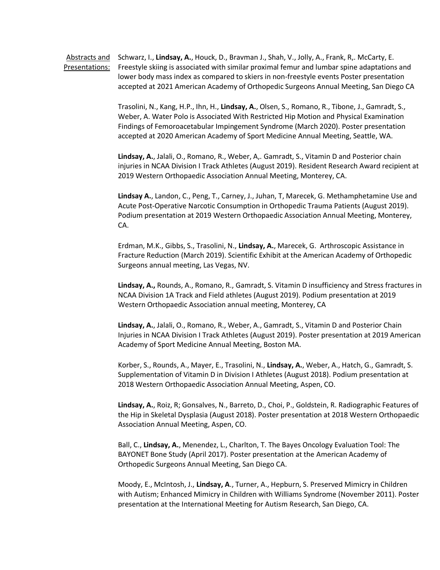Abstracts and Schwarz, I., **Lindsay, A.**, Houck, D., Bravman J., Shah, V., Jolly, A., Frank, R,. McCarty, E. Presentations: Freestyle skiing is associated with similar proximal femur and lumbar spine adaptations and lower body mass index as compared to skiers in non-freestyle events Poster presentation accepted at 2021 American Academy of Orthopedic Surgeons Annual Meeting, San Diego CA

> Trasolini, N., Kang, H.P., Ihn, H., **Lindsay, A.**, Olsen, S., Romano, R., Tibone, J., Gamradt, S., Weber, A. Water Polo is Associated With Restricted Hip Motion and Physical Examination Findings of Femoroacetabular Impingement Syndrome (March 2020). Poster presentation accepted at 2020 American Academy of Sport Medicine Annual Meeting, Seattle, WA.

**Lindsay, A.**, Jalali, O., Romano, R., Weber, A,. Gamradt, S., Vitamin D and Posterior chain injuries in NCAA Division I Track Athletes (August 2019). Resident Research Award recipient at 2019 Western Orthopaedic Association Annual Meeting, Monterey, CA.

**Lindsay A.**, Landon, C., Peng, T., Carney, J., Juhan, T, Marecek, G. Methamphetamine Use and Acute Post-Operative Narcotic Consumption in Orthopedic Trauma Patients (August 2019). Podium presentation at 2019 Western Orthopaedic Association Annual Meeting, Monterey, CA.

Erdman, M.K., Gibbs, S., Trasolini, N., **Lindsay, A.**, Marecek, G. Arthroscopic Assistance in Fracture Reduction (March 2019). Scientific Exhibit at the American Academy of Orthopedic Surgeons annual meeting, Las Vegas, NV.

**Lindsay, A.,** Rounds, A., Romano, R., Gamradt, S. Vitamin D insufficiency and Stress fractures in NCAA Division 1A Track and Field athletes (August 2019). Podium presentation at 2019 Western Orthopaedic Association annual meeting, Monterey, CA

**Lindsay, A.**, Jalali, O., Romano, R., Weber, A., Gamradt, S., Vitamin D and Posterior Chain Injuries in NCAA Division I Track Athletes (August 2019). Poster presentation at 2019 American Academy of Sport Medicine Annual Meeting, Boston MA.

Korber, S., Rounds, A., Mayer, E., Trasolini, N., **Lindsay, A.**, Weber, A., Hatch, G., Gamradt, S. Supplementation of Vitamin D in Division I Athletes (August 2018). Podium presentation at 2018 Western Orthopaedic Association Annual Meeting, Aspen, CO.

**Lindsay, A.**, Roiz, R; Gonsalves, N., Barreto, D., Choi, P., Goldstein, R. Radiographic Features of the Hip in Skeletal Dysplasia (August 2018). Poster presentation at 2018 Western Orthopaedic Association Annual Meeting, Aspen, CO.

Ball, C., **Lindsay, A.**, Menendez, L., Charlton, T. The Bayes Oncology Evaluation Tool: The BAYONET Bone Study (April 2017). Poster presentation at the American Academy of Orthopedic Surgeons Annual Meeting, San Diego CA.

Moody, E., McIntosh, J., **Lindsay, A**., Turner, A., Hepburn, S. Preserved Mimicry in Children with Autism; Enhanced Mimicry in Children with Williams Syndrome (November 2011). Poster presentation at the International Meeting for Autism Research, San Diego, CA.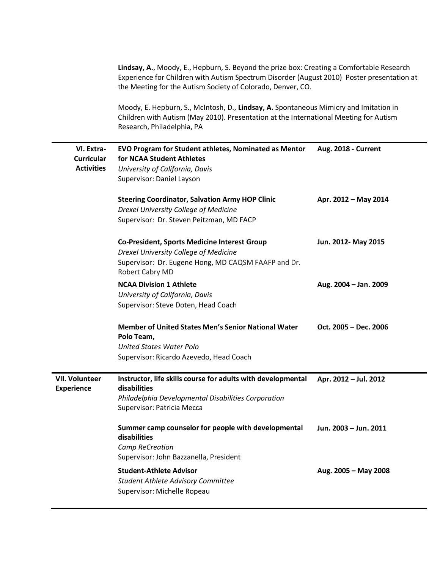|                                            | Lindsay, A., Moody, E., Hepburn, S. Beyond the prize box: Creating a Comfortable Research<br>Experience for Children with Autism Spectrum Disorder (August 2010) Poster presentation at<br>the Meeting for the Autism Society of Colorado, Denver, CO.<br>Moody, E. Hepburn, S., McIntosh, D., Lindsay, A. Spontaneous Mimicry and Imitation in<br>Children with Autism (May 2010). Presentation at the International Meeting for Autism<br>Research, Philadelphia, PA |                       |  |
|--------------------------------------------|------------------------------------------------------------------------------------------------------------------------------------------------------------------------------------------------------------------------------------------------------------------------------------------------------------------------------------------------------------------------------------------------------------------------------------------------------------------------|-----------------------|--|
|                                            |                                                                                                                                                                                                                                                                                                                                                                                                                                                                        |                       |  |
| VI. Extra-                                 | EVO Program for Student athletes, Nominated as Mentor                                                                                                                                                                                                                                                                                                                                                                                                                  | Aug. 2018 - Current   |  |
| <b>Curricular</b>                          | for NCAA Student Athletes                                                                                                                                                                                                                                                                                                                                                                                                                                              |                       |  |
| <b>Activities</b>                          | University of California, Davis                                                                                                                                                                                                                                                                                                                                                                                                                                        |                       |  |
|                                            | Supervisor: Daniel Layson                                                                                                                                                                                                                                                                                                                                                                                                                                              |                       |  |
|                                            | <b>Steering Coordinator, Salvation Army HOP Clinic</b>                                                                                                                                                                                                                                                                                                                                                                                                                 | Apr. 2012 - May 2014  |  |
|                                            | Drexel University College of Medicine                                                                                                                                                                                                                                                                                                                                                                                                                                  |                       |  |
|                                            | Supervisor: Dr. Steven Peitzman, MD FACP                                                                                                                                                                                                                                                                                                                                                                                                                               |                       |  |
|                                            | <b>Co-President, Sports Medicine Interest Group</b>                                                                                                                                                                                                                                                                                                                                                                                                                    | Jun. 2012- May 2015   |  |
|                                            | Drexel University College of Medicine                                                                                                                                                                                                                                                                                                                                                                                                                                  |                       |  |
|                                            | Supervisor: Dr. Eugene Hong, MD CAQSM FAAFP and Dr.                                                                                                                                                                                                                                                                                                                                                                                                                    |                       |  |
|                                            | Robert Cabry MD                                                                                                                                                                                                                                                                                                                                                                                                                                                        |                       |  |
|                                            | <b>NCAA Division 1 Athlete</b>                                                                                                                                                                                                                                                                                                                                                                                                                                         | Aug. 2004 - Jan. 2009 |  |
|                                            | University of California, Davis                                                                                                                                                                                                                                                                                                                                                                                                                                        |                       |  |
|                                            | Supervisor: Steve Doten, Head Coach                                                                                                                                                                                                                                                                                                                                                                                                                                    |                       |  |
|                                            | <b>Member of United States Men's Senior National Water</b><br>Polo Team,                                                                                                                                                                                                                                                                                                                                                                                               | Oct. 2005 - Dec. 2006 |  |
|                                            | <b>United States Water Polo</b>                                                                                                                                                                                                                                                                                                                                                                                                                                        |                       |  |
|                                            | Supervisor: Ricardo Azevedo, Head Coach                                                                                                                                                                                                                                                                                                                                                                                                                                |                       |  |
| <b>VII. Volunteer</b><br><b>Experience</b> | Instructor, life skills course for adults with developmental<br>disabilities                                                                                                                                                                                                                                                                                                                                                                                           | Apr. 2012 - Jul. 2012 |  |
|                                            | Philadelphia Developmental Disabilities Corporation                                                                                                                                                                                                                                                                                                                                                                                                                    |                       |  |
|                                            | Supervisor: Patricia Mecca                                                                                                                                                                                                                                                                                                                                                                                                                                             |                       |  |
|                                            | Summer camp counselor for people with developmental<br>disabilities<br><b>Camp ReCreation</b>                                                                                                                                                                                                                                                                                                                                                                          | Jun. 2003 - Jun. 2011 |  |
|                                            | Supervisor: John Bazzanella, President                                                                                                                                                                                                                                                                                                                                                                                                                                 |                       |  |
|                                            | <b>Student-Athlete Advisor</b>                                                                                                                                                                                                                                                                                                                                                                                                                                         | Aug. 2005 - May 2008  |  |
|                                            | <b>Student Athlete Advisory Committee</b>                                                                                                                                                                                                                                                                                                                                                                                                                              |                       |  |
|                                            | Supervisor: Michelle Ropeau                                                                                                                                                                                                                                                                                                                                                                                                                                            |                       |  |
|                                            |                                                                                                                                                                                                                                                                                                                                                                                                                                                                        |                       |  |